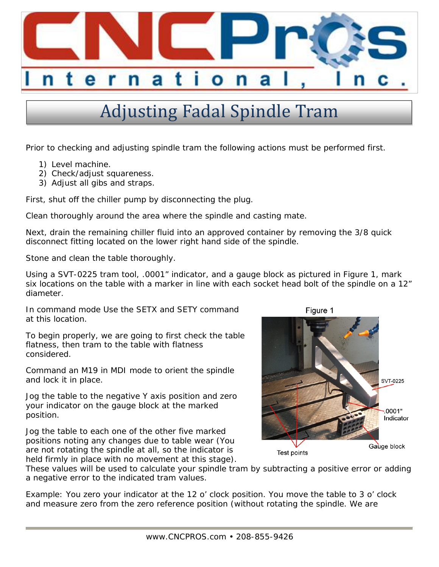

## Adjusting Fadal Spindle Tram

Prior to checking and adjusting spindle tram the following actions must be performed first.

- 1) Level machine.
- 2) Check/adjust squareness.
- 3) Adjust all gibs and straps.

First, shut off the chiller pump by disconnecting the plug.

Clean thoroughly around the area where the spindle and casting mate.

Next, drain the remaining chiller fluid into an approved container by removing the 3/8 quick disconnect fitting located on the lower right hand side of the spindle.

Stone and clean the table thoroughly.

Using a SVT-0225 tram tool, .0001" indicator, and a gauge block as pictured in Figure 1, mark six locations on the table with a marker in line with each socket head bolt of the spindle on a 12" diameter.

In command mode Use the SETX and SETY command at this location.

To begin properly, we are going to first check the table flatness, then tram to the table with flatness considered.

Command an M19 in MDI mode to orient the spindle and lock it in place.

Jog the table to the negative Y axis position and zero your indicator on the gauge block at the marked position.

Jog the table to each one of the other five marked positions noting any changes due to table wear (You are not rotating the spindle at all, so the indicator is held firmly in place with no movement at this stage).



These values will be used to calculate your spindle tram by subtracting a positive error or adding a negative error to the indicated tram values.

Example: You zero your indicator at the 12 o' clock position. You move the table to 3 o' clock and measure zero from the zero reference position (without rotating the spindle. We are